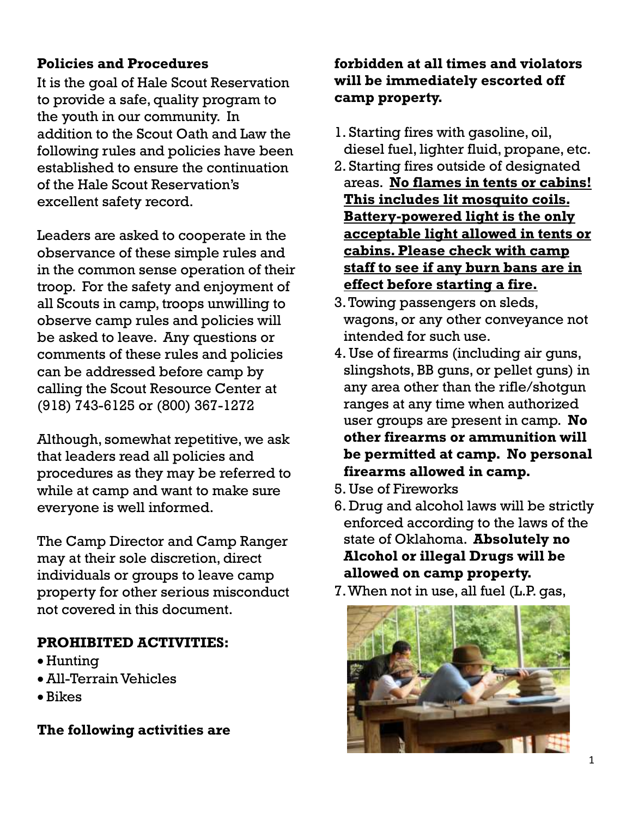# **Policies and Procedures**

It is the goal of Hale Scout Reservation to provide a safe, quality program to the youth in our community. In addition to the Scout Oath and Law the following rules and policies have been established to ensure the continuation of the Hale Scout Reservation's excellent safety record.

Leaders are asked to cooperate in the observance of these simple rules and in the common sense operation of their troop. For the safety and enjoyment of all Scouts in camp, troops unwilling to observe camp rules and policies will be asked to leave. Any questions or comments of these rules and policies can be addressed before camp by calling the Scout Resource Center at (918) 743-6125 or (800) 367-1272

Although, somewhat repetitive, we ask that leaders read all policies and procedures as they may be referred to while at camp and want to make sure everyone is well informed.

The Camp Director and Camp Ranger may at their sole discretion, direct individuals or groups to leave camp property for other serious misconduct not covered in this document.

# **PROHIBITED ACTIVITIES:**

- Hunting
- All-Terrain Vehicles
- Bikes

**The following activities are** 

# **forbidden at all times and violators will be immediately escorted off camp property.**

- 1. Starting fires with gasoline, oil, diesel fuel, lighter fluid, propane, etc.
- 2. Starting fires outside of designated areas. **No flames in tents or cabins! This includes lit mosquito coils. Battery-powered light is the only acceptable light allowed in tents or cabins. Please check with camp staff to see if any burn bans are in effect before starting a fire.**
- 3.Towing passengers on sleds, wagons, or any other conveyance not intended for such use.
- 4. Use of firearms (including air guns, slingshots, BB guns, or pellet guns) in any area other than the rifle/shotgun ranges at any time when authorized user groups are present in camp. **No other firearms or ammunition will be permitted at camp. No personal firearms allowed in camp.**
- 5. Use of Fireworks
- 6. Drug and alcohol laws will be strictly enforced according to the laws of the state of Oklahoma. **Absolutely no Alcohol or illegal Drugs will be allowed on camp property.**
- 7.When not in use, all fuel (L.P. gas,

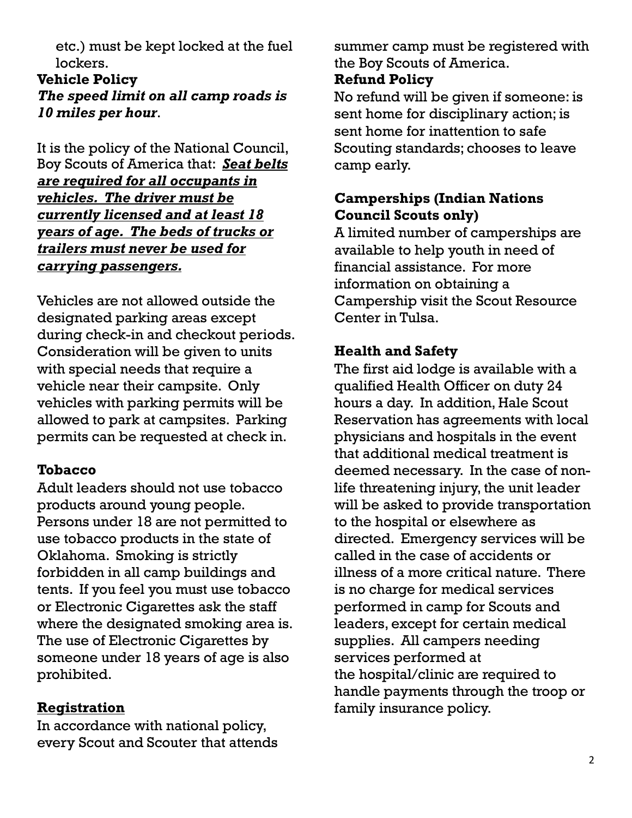etc.) must be kept locked at the fuel lockers.

**Vehicle Policy** *The speed limit on all camp roads is 10 miles per hour*.

It is the policy of the National Council, Boy Scouts of America that: *Seat belts are required for all occupants in vehicles. The driver must be currently licensed and at least 18 years of age. The beds of trucks or trailers must never be used for carrying passengers.* 

Vehicles are not allowed outside the designated parking areas except during check-in and checkout periods. Consideration will be given to units with special needs that require a vehicle near their campsite. Only vehicles with parking permits will be allowed to park at campsites. Parking permits can be requested at check in.

#### **Tobacco**

Adult leaders should not use tobacco products around young people. Persons under 18 are not permitted to use tobacco products in the state of Oklahoma. Smoking is strictly forbidden in all camp buildings and tents. If you feel you must use tobacco or Electronic Cigarettes ask the staff where the designated smoking area is. The use of Electronic Cigarettes by someone under 18 years of age is also prohibited.

#### **Registration**

In accordance with national policy, every Scout and Scouter that attends summer camp must be registered with the Boy Scouts of America.

#### **Refund Policy**

No refund will be given if someone: is sent home for disciplinary action; is sent home for inattention to safe Scouting standards; chooses to leave camp early.

## **Camperships (Indian Nations Council Scouts only)**

A limited number of camperships are available to help youth in need of financial assistance. For more information on obtaining a Campership visit the Scout Resource Center in Tulsa.

### **Health and Safety**

The first aid lodge is available with a qualified Health Officer on duty 24 hours a day. In addition, Hale Scout Reservation has agreements with local physicians and hospitals in the event that additional medical treatment is deemed necessary. In the case of nonlife threatening injury, the unit leader will be asked to provide transportation to the hospital or elsewhere as directed. Emergency services will be called in the case of accidents or illness of a more critical nature. There is no charge for medical services performed in camp for Scouts and leaders, except for certain medical supplies. All campers needing services performed at the hospital/clinic are required to handle payments through the troop or family insurance policy.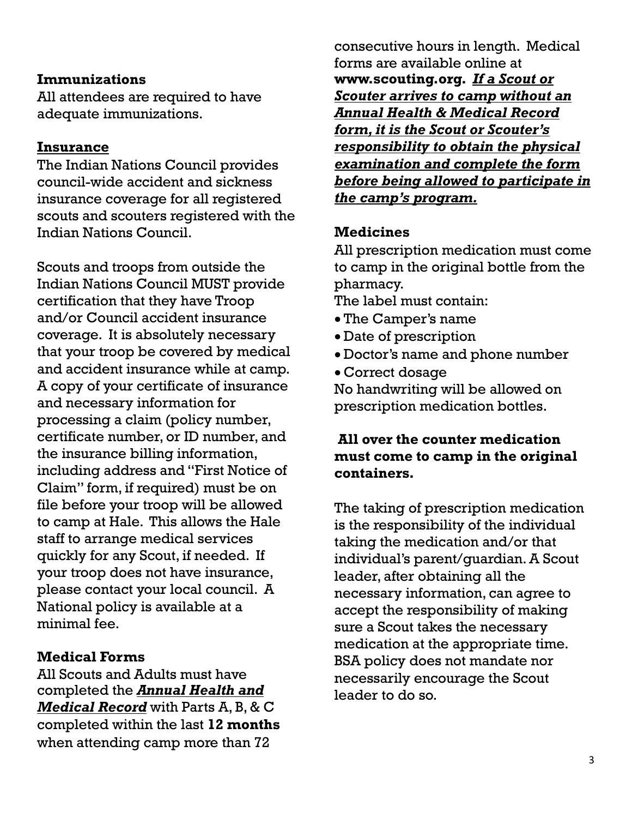#### **Immunizations**

All attendees are required to have adequate immunizations.

### **Insurance**

The Indian Nations Council provides council-wide accident and sickness insurance coverage for all registered scouts and scouters registered with the Indian Nations Council.

Scouts and troops from outside the Indian Nations Council MUST provide certification that they have Troop and/or Council accident insurance coverage. It is absolutely necessary that your troop be covered by medical and accident insurance while at camp. A copy of your certificate of insurance and necessary information for processing a claim (policy number, certificate number, or ID number, and the insurance billing information, including address and "First Notice of Claim" form, if required) must be on file before your troop will be allowed to camp at Hale. This allows the Hale staff to arrange medical services quickly for any Scout, if needed. If your troop does not have insurance, please contact your local council. A National policy is available at a minimal fee.

## **Medical Forms**

All Scouts and Adults must have completed the *Annual Health and Medical Record* with Parts A, B, & C completed within the last **12 months** when attending camp more than 72

consecutive hours in length. Medical forms are available online at **[www.scouting.org.](http://www.midnightsunbsa.org/)** *If a Scout or Scouter arrives to camp without an Annual Health & Medical Record form, it is the Scout or Scouter's responsibility to obtain the physical examination and complete the form before being allowed to participate in the camp's program.*

## **Medicines**

All prescription medication must come to camp in the original bottle from the pharmacy.

The label must contain:

- The Camper's name
- Date of prescription
- Doctor's name and phone number
- Correct dosage

No handwriting will be allowed on prescription medication bottles.

## **All over the counter medication must come to camp in the original containers.**

The taking of prescription medication is the responsibility of the individual taking the medication and/or that individual's parent/guardian. A Scout leader, after obtaining all the necessary information, can agree to accept the responsibility of making sure a Scout takes the necessary medication at the appropriate time. BSA policy does not mandate nor necessarily encourage the Scout leader to do so.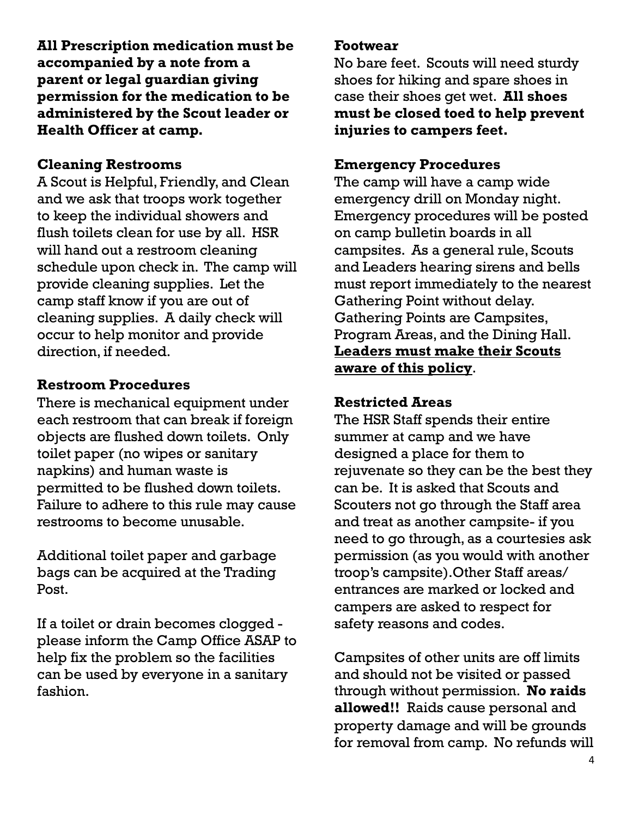**All Prescription medication must be accompanied by a note from a parent or legal guardian giving permission for the medication to be administered by the Scout leader or Health Officer at camp.**

# **Cleaning Restrooms**

A Scout is Helpful, Friendly, and Clean and we ask that troops work together to keep the individual showers and flush toilets clean for use by all. HSR will hand out a restroom cleaning schedule upon check in. The camp will provide cleaning supplies. Let the camp staff know if you are out of cleaning supplies. A daily check will occur to help monitor and provide direction, if needed.

# **Restroom Procedures**

There is mechanical equipment under each restroom that can break if foreign objects are flushed down toilets. Only toilet paper (no wipes or sanitary napkins) and human waste is permitted to be flushed down toilets. Failure to adhere to this rule may cause restrooms to become unusable.

Additional toilet paper and garbage bags can be acquired at the Trading Post.

If a toilet or drain becomes clogged please inform the Camp Office ASAP to help fix the problem so the facilities can be used by everyone in a sanitary fashion.

#### **Footwear**

No bare feet. Scouts will need sturdy shoes for hiking and spare shoes in case their shoes get wet. **All shoes must be closed toed to help prevent injuries to campers feet.**

# **Emergency Procedures**

The camp will have a camp wide emergency drill on Monday night. Emergency procedures will be posted on camp bulletin boards in all campsites. As a general rule, Scouts and Leaders hearing sirens and bells must report immediately to the nearest Gathering Point without delay. Gathering Points are Campsites, Program Areas, and the Dining Hall. **Leaders must make their Scouts aware of this policy**.

# **Restricted Areas**

The HSR Staff spends their entire summer at camp and we have designed a place for them to rejuvenate so they can be the best they can be. It is asked that Scouts and Scouters not go through the Staff area and treat as another campsite- if you need to go through, as a courtesies ask permission (as you would with another troop's campsite).Other Staff areas/ entrances are marked or locked and campers are asked to respect for safety reasons and codes.

Campsites of other units are off limits and should not be visited or passed through without permission. **No raids allowed!!** Raids cause personal and property damage and will be grounds for removal from camp. No refunds will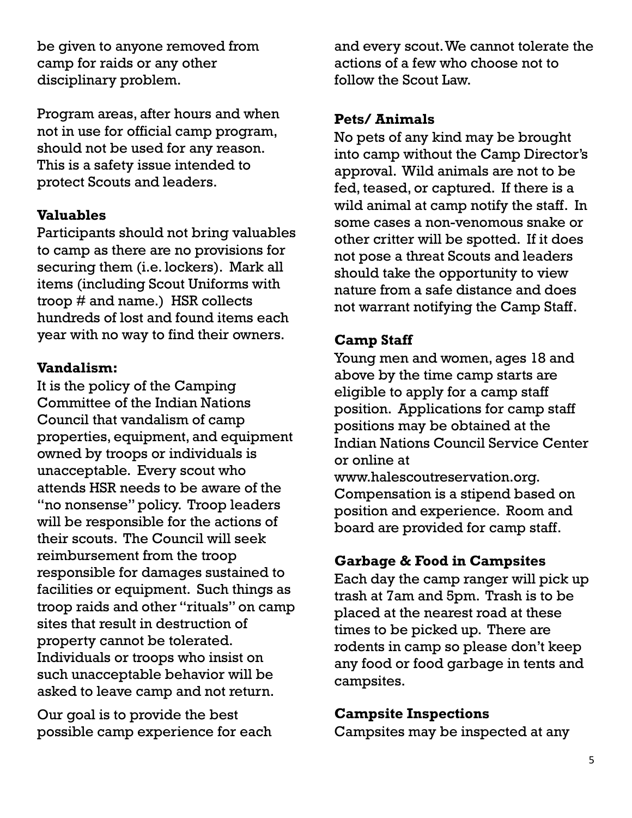be given to anyone removed from camp for raids or any other disciplinary problem.

Program areas, after hours and when not in use for official camp program, should not be used for any reason. This is a safety issue intended to protect Scouts and leaders.

# **Valuables**

Participants should not bring valuables to camp as there are no provisions for securing them (i.e. lockers). Mark all items (including Scout Uniforms with troop # and name.) HSR collects hundreds of lost and found items each year with no way to find their owners.

### **Vandalism:**

It is the policy of the Camping Committee of the Indian Nations Council that vandalism of camp properties, equipment, and equipment owned by troops or individuals is unacceptable. Every scout who attends HSR needs to be aware of the "no nonsense" policy. Troop leaders will be responsible for the actions of their scouts. The Council will seek reimbursement from the troop responsible for damages sustained to facilities or equipment. Such things as troop raids and other "rituals" on camp sites that result in destruction of property cannot be tolerated. Individuals or troops who insist on such unacceptable behavior will be asked to leave camp and not return.

Our goal is to provide the best possible camp experience for each and every scout. We cannot tolerate the actions of a few who choose not to follow the Scout Law.

#### **Pets/ Animals**

No pets of any kind may be brought into camp without the Camp Director's approval. Wild animals are not to be fed, teased, or captured. If there is a wild animal at camp notify the staff. In some cases a non-venomous snake or other critter will be spotted. If it does not pose a threat Scouts and leaders should take the opportunity to view nature from a safe distance and does not warrant notifying the Camp Staff.

### **Camp Staff**

Young men and women, ages 18 and above by the time camp starts are eligible to apply for a camp staff position. Applications for camp staff positions may be obtained at the Indian Nations Council Service Center or online at

www.halescoutreservation.org. Compensation is a stipend based on position and experience. Room and board are provided for camp staff.

## **Garbage & Food in Campsites**

Each day the camp ranger will pick up trash at 7am and 5pm. Trash is to be placed at the nearest road at these times to be picked up. There are rodents in camp so please don't keep any food or food garbage in tents and campsites.

## **Campsite Inspections**

Campsites may be inspected at any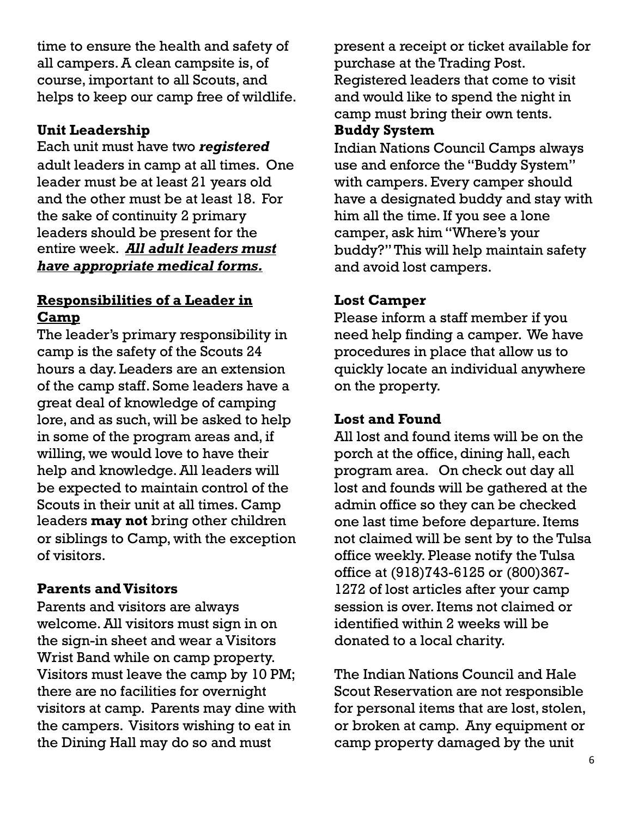time to ensure the health and safety of all campers. A clean campsite is, of course, important to all Scouts, and helps to keep our camp free of wildlife.

# **Unit Leadership**

Each unit must have two *registered* adult leaders in camp at all times. One leader must be at least 21 years old and the other must be at least 18. For the sake of continuity 2 primary leaders should be present for the entire week. *All adult leaders must have appropriate medical forms.*

# **Responsibilities of a Leader in Camp**

The leader's primary responsibility in camp is the safety of the Scouts 24 hours a day. Leaders are an extension of the camp staff. Some leaders have a great deal of knowledge of camping lore, and as such, will be asked to help in some of the program areas and, if willing, we would love to have their help and knowledge. All leaders will be expected to maintain control of the Scouts in their unit at all times. Camp leaders **may not** bring other children or siblings to Camp, with the exception of visitors.

## **Parents and Visitors**

Parents and visitors are always welcome. All visitors must sign in on the sign-in sheet and wear a Visitors Wrist Band while on camp property. Visitors must leave the camp by 10 PM; there are no facilities for overnight visitors at camp. Parents may dine with the campers. Visitors wishing to eat in the Dining Hall may do so and must

present a receipt or ticket available for purchase at the Trading Post. Registered leaders that come to visit and would like to spend the night in

#### camp must bring their own tents. **Buddy System**

Indian Nations Council Camps always use and enforce the "Buddy System'' with campers. Every camper should have a designated buddy and stay with him all the time. If you see a lone camper, ask him "Where's your buddy?'' This will help maintain safety and avoid lost campers.

# **Lost Camper**

Please inform a staff member if you need help finding a camper. We have procedures in place that allow us to quickly locate an individual anywhere on the property.

## **Lost and Found**

All lost and found items will be on the porch at the office, dining hall, each program area. On check out day all lost and founds will be gathered at the admin office so they can be checked one last time before departure. Items not claimed will be sent by to the Tulsa office weekly. Please notify the Tulsa office at (918)743-6125 or (800)367- 1272 of lost articles after your camp session is over. Items not claimed or identified within 2 weeks will be donated to a local charity.

The Indian Nations Council and Hale Scout Reservation are not responsible for personal items that are lost, stolen, or broken at camp. Any equipment or camp property damaged by the unit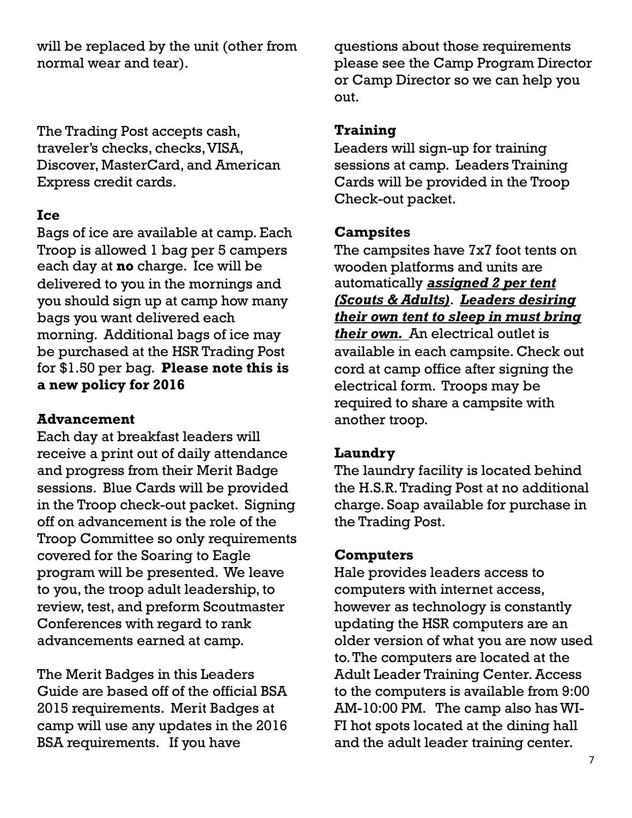will be replaced by the unit (other from normal wear and tear).

The Trading Post accepts cash, traveler's checks, checks, VISA, Discover, MasterCard, and American Express credit cards.

### **Ice**

Bags of ice are available at camp. Each Troop is allowed 1 bag per 5 campers each day at **no** charge. Ice will be delivered to you in the mornings and you should sign up at camp how many bags you want delivered each morning. Additional bags of ice may be purchased at the HSR Trading Post for \$1.50 per bag. **Please note this is a new policy for 2016**

## **Advancement**

Each day at breakfast leaders will receive a print out of daily attendance and progress from their Merit Badge sessions. Blue Cards will be provided in the Troop check-out packet. Signing off on advancement is the role of the Troop Committee so only requirements covered for the Soaring to Eagle program will be presented. We leave to you, the troop adult leadership, to review, test, and preform Scoutmaster Conferences with regard to rank advancements earned at camp.

The Merit Badges in this Leaders Guide are based off of the official BSA 2015 requirements. Merit Badges at camp will use any updates in the 2016 BSA requirements. If you have

questions about those requirements please see the Camp Program Director or Camp Director so we can help you out.

# **Training**

Leaders will sign-up for training sessions at camp. Leaders Training Cards will be provided in the Troop Check-out packet.

# **Campsites**

The campsites have 7x7 foot tents on wooden platforms and units are automatically *assigned 2 per tent (Scouts & Adults)*. *Leaders desiring their own tent to sleep in must bring their own.* An electrical outlet is available in each campsite. Check out cord at camp office after signing the electrical form. Troops may be required to share a campsite with another troop.

## **Laundry**

The laundry facility is located behind the H.S.R. Trading Post at no additional charge. Soap available for purchase in the Trading Post.

# **Computers**

Hale provides leaders access to computers with internet access, however as technology is constantly updating the HSR computers are an older version of what you are now used to. The computers are located at the Adult Leader Training Center. Access to the computers is available from 9:00 AM-10:00 PM. The camp also has WI-FI hot spots located at the dining hall and the adult leader training center.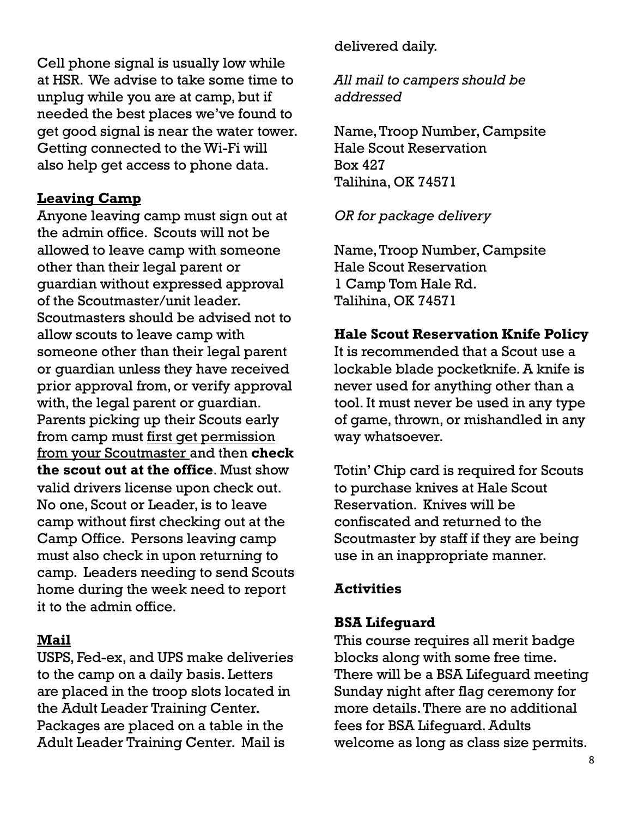Cell phone signal is usually low while at HSR. We advise to take some time to unplug while you are at camp, but if needed the best places we've found to get good signal is near the water tower. Getting connected to the Wi-Fi will also help get access to phone data.

## **Leaving Camp**

Anyone leaving camp must sign out at the admin office. Scouts will not be allowed to leave camp with someone other than their legal parent or guardian without expressed approval of the Scoutmaster/unit leader. Scoutmasters should be advised not to allow scouts to leave camp with someone other than their legal parent or guardian unless they have received prior approval from, or verify approval with, the legal parent or guardian. Parents picking up their Scouts early from camp must first get permission from your Scoutmaster and then **check the scout out at the office**. Must show valid drivers license upon check out. No one, Scout or Leader, is to leave camp without first checking out at the Camp Office. Persons leaving camp must also check in upon returning to camp. Leaders needing to send Scouts home during the week need to report it to the admin office.

## **Mail**

USPS, Fed-ex, and UPS make deliveries to the camp on a daily basis. Letters are placed in the troop slots located in the Adult Leader Training Center. Packages are placed on a table in the Adult Leader Training Center. Mail is

delivered daily.

*All mail to campers should be addressed*

Name, Troop Number, Campsite Hale Scout Reservation Box 427 Talihina, OK 74571

# *OR for package delivery*

Name, Troop Number, Campsite Hale Scout Reservation 1 Camp Tom Hale Rd. Talihina, OK 74571

# **Hale Scout Reservation Knife Policy**

It is recommended that a Scout use a lockable blade pocketknife. A knife is never used for anything other than a tool. It must never be used in any type of game, thrown, or mishandled in any way whatsoever.

Totin' Chip card is required for Scouts to purchase knives at Hale Scout Reservation. Knives will be confiscated and returned to the Scoutmaster by staff if they are being use in an inappropriate manner.

# **Activities**

# **BSA Lifeguard**

This course requires all merit badge blocks along with some free time. There will be a BSA Lifeguard meeting Sunday night after flag ceremony for more details. There are no additional fees for BSA Lifeguard. Adults welcome as long as class size permits.